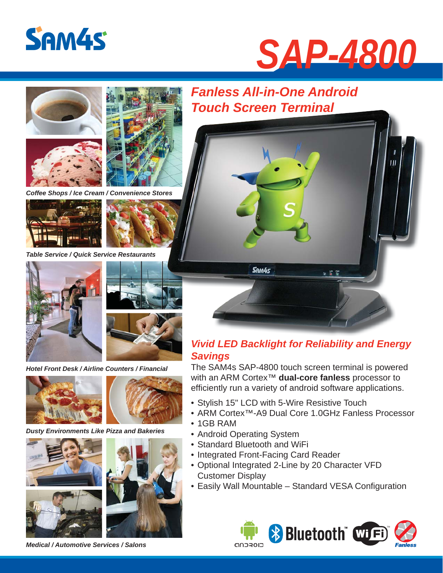







*Coffee Shops / Ice Cream / Convenience Stores s*





*Table Service / Quick Service Restaurants*





*Hotel Front Desk / Airline Counters / Financial*





*Dusty Environments Like Pizza and Bakeries*







*Medical / Automotive Services / Salons*

## *Fanless All-in-One Android Touch Screen Terminal Touch Screen*



### *Vivid LED Backlight for Reliability and Energy Savings*

The SAM4s SAP-4800 touch screen terminal is powered with an ARM Cortex™ **dual-core fanless** processor to efficiently run a variety of android software applications.

- Stylish 15" LCD with 5-Wire Resistive Touch
- ARM Cortex™-A9 Dual Core 1.0GHz Fanless Processor
- 1GB RAM
- Android Operating System
- Standard Bluetooth and WiFi
- Integrated Front-Facing Card Reader
- Optional Integrated 2-Line by 20 Character VFD Customer Display
- Easily Wall Mountable Standard VESA Configuration